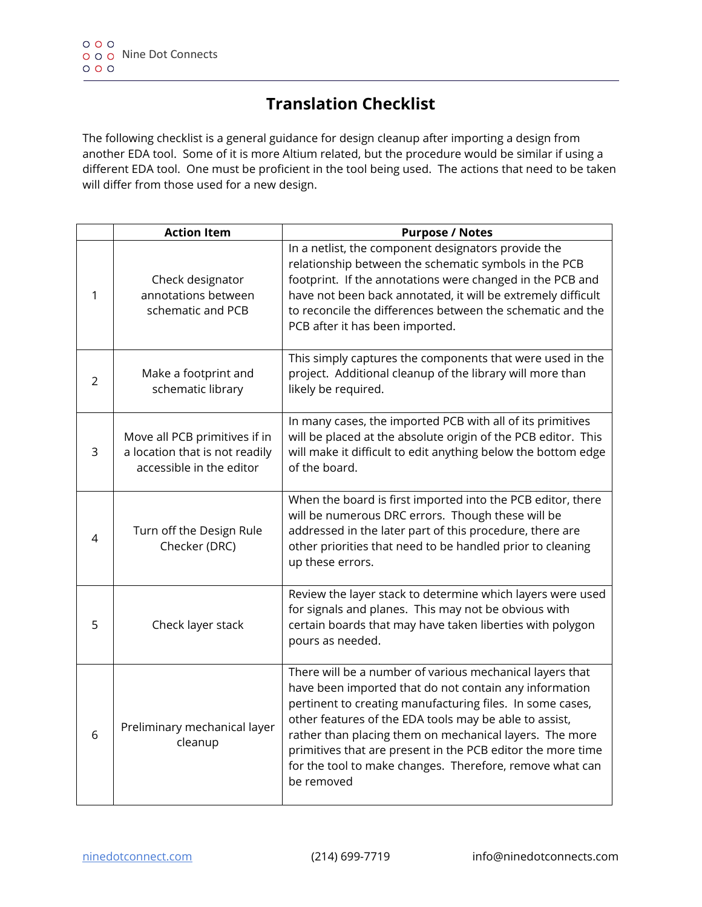## **Translation Checklist**

The following checklist is a general guidance for design cleanup after importing a design from another EDA tool. Some of it is more Altium related, but the procedure would be similar if using a different EDA tool. One must be proficient in the tool being used. The actions that need to be taken will differ from those used for a new design.

|   | <b>Action Item</b>                                                                          | <b>Purpose / Notes</b>                                                                                                                                                                                                                                                                                                                                                                                                                        |
|---|---------------------------------------------------------------------------------------------|-----------------------------------------------------------------------------------------------------------------------------------------------------------------------------------------------------------------------------------------------------------------------------------------------------------------------------------------------------------------------------------------------------------------------------------------------|
| 1 | Check designator<br>annotations between<br>schematic and PCB                                | In a netlist, the component designators provide the<br>relationship between the schematic symbols in the PCB<br>footprint. If the annotations were changed in the PCB and<br>have not been back annotated, it will be extremely difficult<br>to reconcile the differences between the schematic and the<br>PCB after it has been imported.                                                                                                    |
| 2 | Make a footprint and<br>schematic library                                                   | This simply captures the components that were used in the<br>project. Additional cleanup of the library will more than<br>likely be required.                                                                                                                                                                                                                                                                                                 |
| 3 | Move all PCB primitives if in<br>a location that is not readily<br>accessible in the editor | In many cases, the imported PCB with all of its primitives<br>will be placed at the absolute origin of the PCB editor. This<br>will make it difficult to edit anything below the bottom edge<br>of the board.                                                                                                                                                                                                                                 |
| 4 | Turn off the Design Rule<br>Checker (DRC)                                                   | When the board is first imported into the PCB editor, there<br>will be numerous DRC errors. Though these will be<br>addressed in the later part of this procedure, there are<br>other priorities that need to be handled prior to cleaning<br>up these errors.                                                                                                                                                                                |
| 5 | Check layer stack                                                                           | Review the layer stack to determine which layers were used<br>for signals and planes. This may not be obvious with<br>certain boards that may have taken liberties with polygon<br>pours as needed.                                                                                                                                                                                                                                           |
| 6 | Preliminary mechanical layer<br>cleanup                                                     | There will be a number of various mechanical layers that<br>have been imported that do not contain any information<br>pertinent to creating manufacturing files. In some cases,<br>other features of the EDA tools may be able to assist,<br>rather than placing them on mechanical layers. The more<br>primitives that are present in the PCB editor the more time<br>for the tool to make changes. Therefore, remove what can<br>be removed |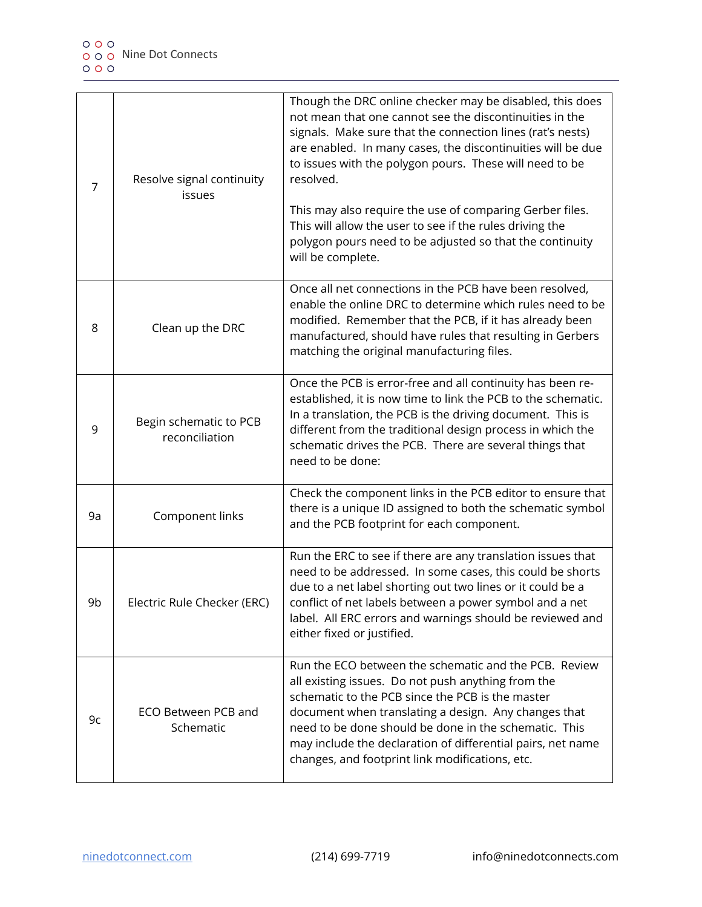| 7  | Resolve signal continuity<br>issues      | Though the DRC online checker may be disabled, this does<br>not mean that one cannot see the discontinuities in the<br>signals. Make sure that the connection lines (rat's nests)<br>are enabled. In many cases, the discontinuities will be due<br>to issues with the polygon pours. These will need to be<br>resolved.<br>This may also require the use of comparing Gerber files.<br>This will allow the user to see if the rules driving the<br>polygon pours need to be adjusted so that the continuity<br>will be complete. |
|----|------------------------------------------|-----------------------------------------------------------------------------------------------------------------------------------------------------------------------------------------------------------------------------------------------------------------------------------------------------------------------------------------------------------------------------------------------------------------------------------------------------------------------------------------------------------------------------------|
| 8  | Clean up the DRC                         | Once all net connections in the PCB have been resolved,<br>enable the online DRC to determine which rules need to be<br>modified. Remember that the PCB, if it has already been<br>manufactured, should have rules that resulting in Gerbers<br>matching the original manufacturing files.                                                                                                                                                                                                                                        |
| 9  | Begin schematic to PCB<br>reconciliation | Once the PCB is error-free and all continuity has been re-<br>established, it is now time to link the PCB to the schematic.<br>In a translation, the PCB is the driving document. This is<br>different from the traditional design process in which the<br>schematic drives the PCB. There are several things that<br>need to be done:                                                                                                                                                                                            |
| 9a | Component links                          | Check the component links in the PCB editor to ensure that<br>there is a unique ID assigned to both the schematic symbol<br>and the PCB footprint for each component.                                                                                                                                                                                                                                                                                                                                                             |
| 9b | Electric Rule Checker (ERC)              | Run the ERC to see if there are any translation issues that<br>need to be addressed. In some cases, this could be shorts<br>due to a net label shorting out two lines or it could be a<br>conflict of net labels between a power symbol and a net<br>label. All ERC errors and warnings should be reviewed and<br>either fixed or justified.                                                                                                                                                                                      |
| 9c | ECO Between PCB and<br>Schematic         | Run the ECO between the schematic and the PCB. Review<br>all existing issues. Do not push anything from the<br>schematic to the PCB since the PCB is the master<br>document when translating a design. Any changes that<br>need to be done should be done in the schematic. This<br>may include the declaration of differential pairs, net name<br>changes, and footprint link modifications, etc.                                                                                                                                |